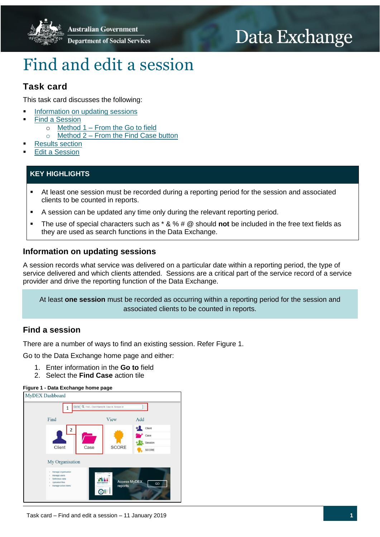

# Data Exchange

# Find and edit a session

# **Task card**

This task card discusses the following:

- [Information on updating sessions](#page-0-0)
- Find [a Session](#page-0-1)
	- o Method 1 [From the Go to field](#page-1-0)
	- $\circ$  Method 2 [From the Find Case button](#page-2-0)
- [Results section](#page-2-1)
- Edit a [Session](#page-3-0)

## **KEY HIGHLIGHTS**

- At least one session must be recorded during a reporting period for the session and associated clients to be counted in reports.
- A session can be updated any time only during the relevant reporting period.
- The use of special characters such as \* & % # @ should **not** be included in the free text fields as they are used as search functions in the Data Exchange.

## <span id="page-0-0"></span>**Information on updating sessions**

A session records what service was delivered on a particular date within a reporting period, the type of service delivered and which clients attended. Sessions are a critical part of the service record of a service provider and drive the reporting function of the Data Exchange.

At least **one session** must be recorded as occurring within a reporting period for the session and associated clients to be counted in reports.

## <span id="page-0-1"></span>**Find a session**

There are a number of ways to find an existing session. Refer Figure 1.

Go to the Data Exchange home page and either:

- 1. Enter information in the **Go to** field
- 2. Select the **Find Case** action tile

#### **Figure 1 - Data Exchange home page**

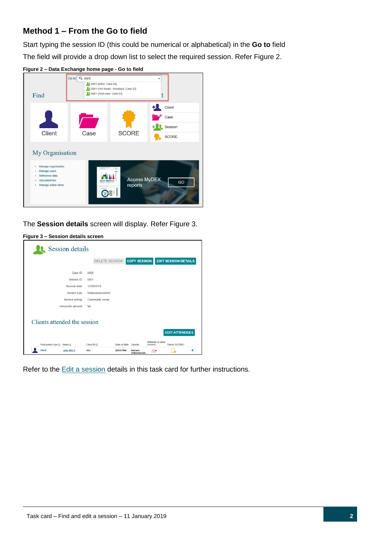# <span id="page-1-0"></span>**Method 1 – From the Go to field**

Start typing the session ID (this could be numerical or alphabetical) in the **Go to** field The field will provide a drop down list to select the required session. Refer Figure 2.



**Figure 2 – Data Exchange home page - Go to field**

The **Session details** screen will display. Refer Figure 3.

### **Figure 3 – Session details screen**

|                                         | <b>Session details</b>            |                                      |                             |                                     |                    |                             |  |  |  |
|-----------------------------------------|-----------------------------------|--------------------------------------|-----------------------------|-------------------------------------|--------------------|-----------------------------|--|--|--|
|                                         |                                   | <b>DELETE SESSION</b>                |                             | <b>COPY SESSION</b>                 |                    | <b>EDIT SESSION DETAILS</b> |  |  |  |
|                                         | Case ID:<br>Session ID:           | 0002<br>0001                         |                             |                                     |                    |                             |  |  |  |
|                                         | Session date:                     | 12/08/2018                           |                             |                                     |                    |                             |  |  |  |
|                                         | Service type:<br>Service setting: | Intake/assessment<br>Community venue |                             |                                     |                    |                             |  |  |  |
|                                         | Interpreter present:              | <b>No</b>                            |                             |                                     |                    |                             |  |  |  |
|                                         | Clients attended the session      |                                      |                             |                                     |                    |                             |  |  |  |
|                                         |                                   |                                      |                             |                                     | Referrals to other | <b>EDIT ATTENDEES</b>       |  |  |  |
| Participation type <> Name <><br>Client | <b>John HILLS</b>                 | Client ID 소<br>003                   | Date of Birth<br>25/05/1942 | Gender<br>Intersex<br>indeterminate | services<br>88+    | Clients SCOREs              |  |  |  |

Refer to the **Edit a [session](#page-3-0)** details in this task card for further instructions.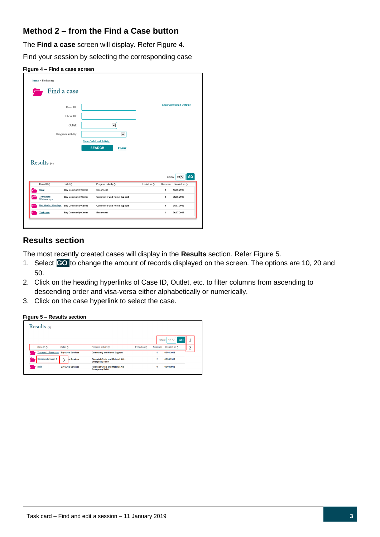# <span id="page-2-0"></span>**Method 2 – from the Find a Case button**

The **Find a case** screen will display. Refer Figure 4.

Find your session by selecting the corresponding case



|                            | Case ID:                    |                                   |              |                         |                | <b>Show Advanced Options</b>                 |
|----------------------------|-----------------------------|-----------------------------------|--------------|-------------------------|----------------|----------------------------------------------|
|                            | Client ID:                  |                                   |              |                         |                |                                              |
|                            | Outlet:                     | $\check{~}$                       |              |                         |                |                                              |
|                            |                             |                                   |              |                         |                |                                              |
|                            | Program activity:           |                                   | $\checkmark$ |                         |                |                                              |
|                            |                             | <b>Clear Outlet and Activity</b>  |              |                         |                |                                              |
|                            |                             |                                   |              |                         |                |                                              |
|                            |                             | <b>SEARCH</b>                     | Clear        |                         |                |                                              |
|                            |                             |                                   |              |                         |                |                                              |
|                            |                             |                                   |              |                         |                |                                              |
| Results $(4)$              |                             |                                   |              |                         |                |                                              |
|                            |                             |                                   |              |                         |                |                                              |
|                            |                             |                                   |              |                         | Show           | $10\sqrt{ }$                                 |
| Case ID &                  | Outlet &                    | Program activity &                |              | Ended on $\diamondsuit$ | Sessions       |                                              |
| 0002                       | <b>Bay Community Centre</b> | Reconnect                         |              |                         | 3              | 13/08/2018                                   |
| Transport-<br>Wednesdays   | <b>Bay Community Centre</b> | <b>Community and Home Support</b> |              |                         | $\bf{0}$       | 08/08/2018                                   |
| <b>Hot Meals - Mondays</b> | <b>Bay Community Centre</b> | <b>Community and Home Support</b> |              |                         | $\overline{4}$ | Created on $\circlearrowright$<br>25/07/2018 |

## <span id="page-2-1"></span>**Results section**

The most recently created cases will display in the **Results** section. Refer Figure 5.

- 1. Select **GO** to change the amount of records displayed on the screen. The options are 10, 20 and 50.
- 2. Click on the heading hyperlinks of Case ID, Outlet, etc. to filter columns from ascending to descending order and visa-versa either alphabetically or numerically.
- 3. Click on the case hyperlink to select the case.

**Figure 5 – Results section**

| Results $(3)$                          |                          |                                                                       |                    |                                  |         |
|----------------------------------------|--------------------------|-----------------------------------------------------------------------|--------------------|----------------------------------|---------|
|                                        |                          |                                                                       |                    | $10 \vee$<br>Show                | 1<br>GO |
| Case ID <                              | Outlet <b>☆</b>          | Program activity ☆                                                    | Ended on $\hat{C}$ | Created on $\hat{C}$<br>Sessions | ำ<br>ے  |
| Transport - Tuesdays Bay Area Services |                          | <b>Community and Home Support</b>                                     |                    | 03/08/2018                       |         |
| <b>Community Event 1</b>               | 3<br>a Services          | <b>Financial Crisis and Material Aid.</b><br><b>Emergency Relief</b>  |                    | $\overline{ }$<br>08/08/2018     |         |
| 0001                                   | <b>Bay Area Services</b> | <b>Financial Crisis and Material Aid -</b><br><b>Emergency Relief</b> |                    | 0<br>09/08/2018                  |         |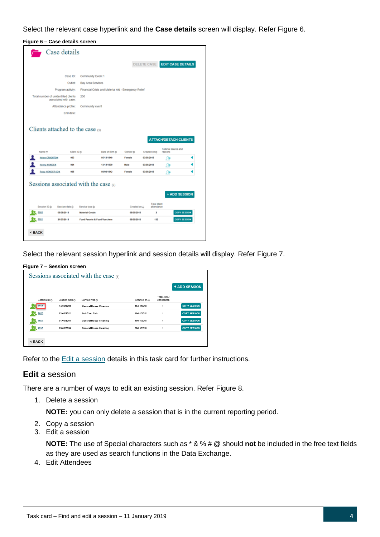Select the relevant case hyperlink and the **Case details** screen will display. Refer Figure 6.

### **Figure 6 – Case details screen**

| Total number of unidentified clients                       | Case ID:<br>Outlet:<br>Program activity: | Community Event 1        |                                                      |                    |                       |                                   |                                |  |
|------------------------------------------------------------|------------------------------------------|--------------------------|------------------------------------------------------|--------------------|-----------------------|-----------------------------------|--------------------------------|--|
|                                                            |                                          |                          |                                                      |                    | DELETE CASE           |                                   | <b>EDIT CASE DETAILS</b>       |  |
|                                                            |                                          |                          |                                                      |                    |                       |                                   |                                |  |
|                                                            |                                          | <b>Bay Area Services</b> |                                                      |                    |                       |                                   |                                |  |
|                                                            |                                          |                          | Financial Crisis and Material Aid - Emergency Relief |                    |                       |                                   |                                |  |
|                                                            | associated with case:                    | 250                      |                                                      |                    |                       |                                   |                                |  |
|                                                            | Attendance profile:                      | Community event          |                                                      |                    |                       |                                   |                                |  |
|                                                            | End date:                                |                          |                                                      |                    |                       |                                   |                                |  |
| Name <sup>&lt;&gt;</sup><br><b>Helen CRIGHTON</b>          | Client ID C<br>003                       |                          | Date of Birth $\circlearrowright$<br>05/12/1940      | Gender &<br>Female | 03/08/2018            | Created on $\Leftrightarrow$      | Referral source and<br>reasons |  |
| <b>Henry NONDEN</b>                                        |                                          |                          |                                                      |                    |                       |                                   |                                |  |
|                                                            | 004                                      |                          | 13/12/1939                                           | Male               | 03/08/2018            |                                   | Ω+                             |  |
| <b>Ruby HENDERSON</b>                                      | 005                                      |                          | 08/08/1942                                           | Female             | 03/08/2018            |                                   | ₩<br>Ω+                        |  |
| Sessions associated with the case $\omega$<br>Session ID & | Session date &                           | Service type &           |                                                      |                    | Created on $\bigcirc$ | <b>Total client</b><br>attendance | + ADD SESSION                  |  |
| 0002                                                       | 08/08/2018                               | <b>Material Goods</b>    |                                                      |                    | 08/08/2018            | ż                                 | <b>COPY SESSION</b>            |  |

Select the relevant session hyperlink and session details will display. Refer Figure 7.

#### **Figure 7 – Session screen**

|              |                                  | Sessions associated with the case $(4)$ |                           |                                   |                     |
|--------------|----------------------------------|-----------------------------------------|---------------------------|-----------------------------------|---------------------|
|              |                                  |                                         |                           |                                   | + ADD SESSION       |
| Session ID & | Session date $\circlearrowright$ | Service type <b>☆</b>                   | Created on $\circledcirc$ | <b>Total client</b><br>attendance |                     |
| 0004         | 14/08/2018                       | <b>General House Cleaning</b>           | 15/08/2018                | 1                                 | <b>COPY SESSION</b> |
| 0003         | 02/08/2018                       | <b>Self-Care Aids</b>                   | 10/08/2018                | 1                                 | <b>COPY SESSION</b> |
| 0002         | 01/08/2018                       | <b>General House Cleaning</b>           | 10/08/2018                | 1                                 | <b>COPY SESSION</b> |
| 0001         | 05/08/2018                       | <b>General House Cleaning</b>           | 08/08/2018                | $\ddot{\phantom{0}}$              | <b>COPY SESSION</b> |

Refer to the Edit a [session](#page-3-0) details in this task card for further instructions.

### <span id="page-3-0"></span>**Edit** a session

There are a number of ways to edit an existing session. Refer Figure 8.

1. Delete a session

**NOTE:** you can only delete a session that is in the current reporting period.

- 2. Copy a session
- 3. Edit a session

**NOTE:** The use of Special characters such as \* & % # @ should **not** be included in the free text fields as they are used as search functions in the Data Exchange.

4. Edit Attendees